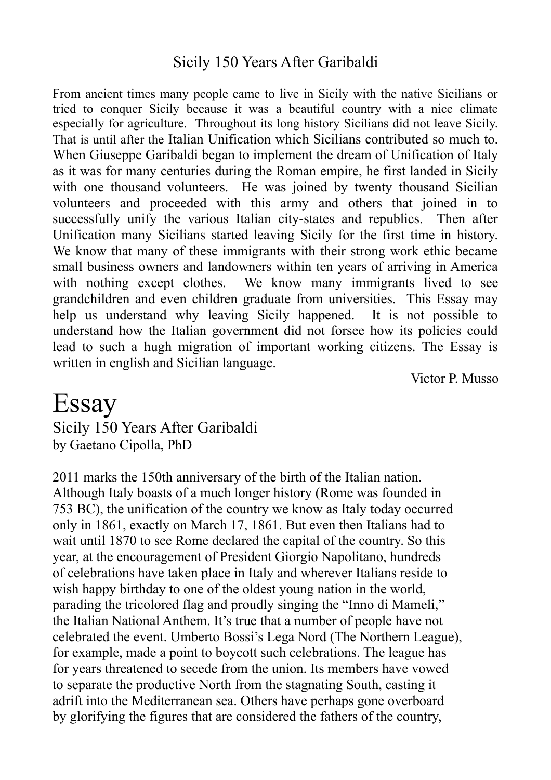## Sicily 150 Years After Garibaldi

From ancient times many people came to live in Sicily with the native Sicilians or tried to conquer Sicily because it was a beautiful country with a nice climate especially for agriculture. Throughout its long history Sicilians did not leave Sicily. That is until after the Italian Unification which Sicilians contributed so much to. When Giuseppe Garibaldi began to implement the dream of Unification of Italy as it was for many centuries during the Roman empire, he first landed in Sicily with one thousand volunteers. He was joined by twenty thousand Sicilian volunteers and proceeded with this army and others that joined in to successfully unify the various Italian city-states and republics. Then after Unification many Sicilians started leaving Sicily for the first time in history. We know that many of these immigrants with their strong work ethic became small business owners and landowners within ten years of arriving in America with nothing except clothes. We know many immigrants lived to see grandchildren and even children graduate from universities. This Essay may help us understand why leaving Sicily happened. It is not possible to understand how the Italian government did not forsee how its policies could lead to such a hugh migration of important working citizens. The Essay is written in english and Sicilian language.

Victor P. Musso

## Essay

Sicily 150 Years After Garibaldi by Gaetano Cipolla, PhD

2011 marks the 150th anniversary of the birth of the Italian nation. Although Italy boasts of a much longer history (Rome was founded in 753 BC), the unification of the country we know as Italy today occurred only in 1861, exactly on March 17, 1861. But even then Italians had to wait until 1870 to see Rome declared the capital of the country. So this year, at the encouragement of President Giorgio Napolitano, hundreds of celebrations have taken place in Italy and wherever Italians reside to wish happy birthday to one of the oldest young nation in the world, parading the tricolored flag and proudly singing the "Inno di Mameli," the Italian National Anthem. It's true that a number of people have not celebrated the event. Umberto Bossi's Lega Nord (The Northern League), for example, made a point to boycott such celebrations. The league has for years threatened to secede from the union. Its members have vowed to separate the productive North from the stagnating South, casting it adrift into the Mediterranean sea. Others have perhaps gone overboard by glorifying the figures that are considered the fathers of the country,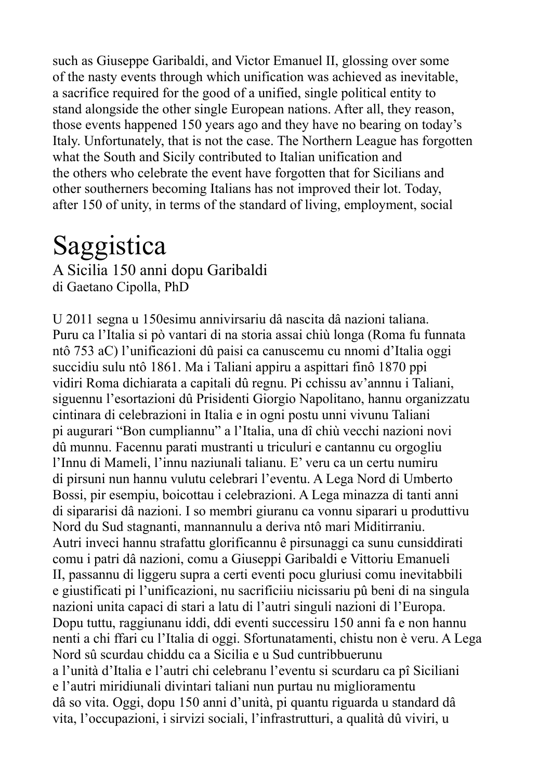such as Giuseppe Garibaldi, and Victor Emanuel II, glossing over some of the nasty events through which unification was achieved as inevitable, a sacrifice required for the good of a unified, single political entity to stand alongside the other single European nations. After all, they reason, those events happened 150 years ago and they have no bearing on today's Italy. Unfortunately, that is not the case. The Northern League has forgotten what the South and Sicily contributed to Italian unification and the others who celebrate the event have forgotten that for Sicilians and other southerners becoming Italians has not improved their lot. Today, after 150 of unity, in terms of the standard of living, employment, social

## Saggistica

A Sicilia 150 anni dopu Garibaldi di Gaetano Cipolla, PhD

U 2011 segna u 150esimu annivirsariu dâ nascita dâ nazioni taliana. Puru ca l'Italia si pò vantari di na storia assai chiù longa (Roma fu funnata ntô 753 aC) l'unificazioni dû paisi ca canuscemu cu nnomi d'Italia oggi succidiu sulu ntô 1861. Ma i Taliani appiru a aspittari finô 1870 ppi vidiri Roma dichiarata a capitali dû regnu. Pi cchissu av'annnu i Taliani, siguennu l'esortazioni dû Prisidenti Giorgio Napolitano, hannu organizzatu cintinara di celebrazioni in Italia e in ogni postu unni vivunu Taliani pi augurari "Bon cumpliannu" a l'Italia, una dî chiù vecchi nazioni novi dû munnu. Facennu parati mustranti u triculuri e cantannu cu orgogliu l'Innu di Mameli, l'innu naziunali talianu. E' veru ca un certu numiru di pirsuni nun hannu vulutu celebrari l'eventu. A Lega Nord di Umberto Bossi, pir esempiu, boicottau i celebrazioni. A Lega minazza di tanti anni di sipararisi dâ nazioni. I so membri giuranu ca vonnu siparari u produttivu Nord du Sud stagnanti, mannannulu a deriva ntô mari Miditirraniu. Autri inveci hannu strafattu glorificannu ê pirsunaggi ca sunu cunsiddirati comu i patri dâ nazioni, comu a Giuseppi Garibaldi e Vittoriu Emanueli II, passannu di liggeru supra a certi eventi pocu gluriusi comu inevitabbili e giustificati pi l'unificazioni, nu sacrificiiu nicissariu pû beni di na singula nazioni unita capaci di stari a latu di l'autri singuli nazioni di l'Europa. Dopu tuttu, raggiunanu iddi, ddi eventi successiru 150 anni fa e non hannu nenti a chi ffari cu l'Italia di oggi. Sfortunatamenti, chistu non è veru. A Lega Nord sû scurdau chiddu ca a Sicilia e u Sud cuntribbuerunu a l'unità d'Italia e l'autri chi celebranu l'eventu si scurdaru ca pî Siciliani e l'autri miridiunali divintari taliani nun purtau nu miglioramentu dâ so vita. Oggi, dopu 150 anni d'unità, pi quantu riguarda u standard dâ vita, l'occupazioni, i sirvizi sociali, l'infrastrutturi, a qualità dû viviri, u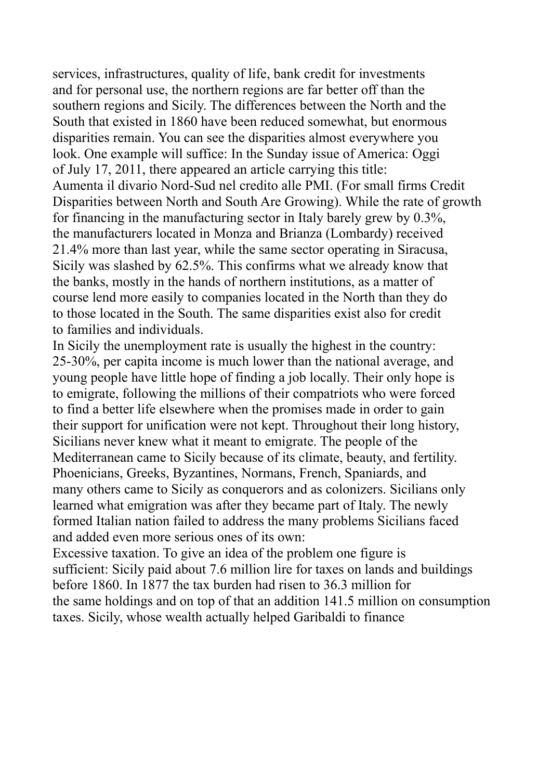services, infrastructures, quality of life, bank credit for investments and for personal use, the northern regions are far better off than the southern regions and Sicily. The differences between the North and the South that existed in 1860 have been reduced somewhat, but enormous disparities remain. You can see the disparities almost everywhere you look. One example will suffice: In the Sunday issue of America: Oggi of July 17, 2011, there appeared an article carrying this title: Aumenta il divario Nord-Sud nel credito alle PMI. (For small firms Credit Disparities between North and South Are Growing). While the rate of growth for financing in the manufacturing sector in Italy barely grew by 0.3%, the manufacturers located in Monza and Brianza (Lombardy) received 21.4% more than last year, while the same sector operating in Siracusa, Sicily was slashed by 62.5%. This confirms what we already know that the banks, mostly in the hands of northern institutions, as a matter of course lend more easily to companies located in the North than they do to those located in the South. The same disparities exist also for credit to families and individuals.

In Sicily the unemployment rate is usually the highest in the country: 25-30%, per capita income is much lower than the national average, and young people have little hope of finding a job locally. Their only hope is to emigrate, following the millions of their compatriots who were forced to find a better life elsewhere when the promises made in order to gain their support for unification were not kept. Throughout their long history, Sicilians never knew what it meant to emigrate. The people of the Mediterranean came to Sicily because of its climate, beauty, and fertility. Phoenicians, Greeks, Byzantines, Normans, French, Spaniards, and many others came to Sicily as conquerors and as colonizers. Sicilians only learned what emigration was after they became part of Italy. The newly formed Italian nation failed to address the many problems Sicilians faced and added even more serious ones of its own:

Excessive taxation. To give an idea of the problem one figure is sufficient: Sicily paid about 7.6 million lire for taxes on lands and buildings before 1860. In 1877 the tax burden had risen to 36.3 million for the same holdings and on top of that an addition 141.5 million on consumption taxes. Sicily, whose wealth actually helped Garibaldi to finance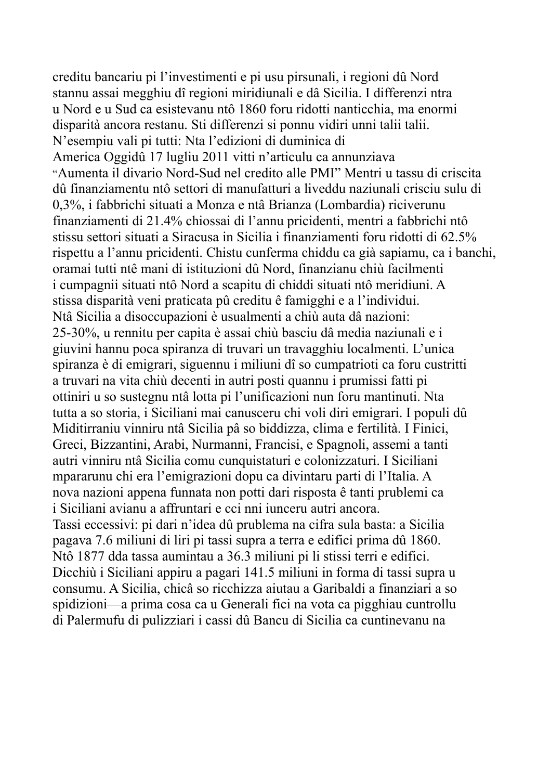creditu bancariu pi l'investimenti e pi usu pirsunali, i regioni dû Nord stannu assai megghiu dî regioni miridiunali e dâ Sicilia. I differenzi ntra u Nord e u Sud ca esistevanu ntô 1860 foru ridotti nanticchia, ma enormi disparità ancora restanu. Sti differenzi si ponnu vidiri unni talii talii. N'esempiu vali pi tutti: Nta l'edizioni di duminica di America Oggidû 17 lugliu 2011 vitti n'articulu ca annunziava "Aumenta il divario Nord-Sud nel credito alle PMI" Mentri u tassu di criscita dû finanziamentu ntô settori di manufatturi a liveddu naziunali crisciu sulu di 0,3%, i fabbrichi situati a Monza e ntâ Brianza (Lombardia) riciverunu finanziamenti di 21.4% chiossai di l'annu pricidenti, mentri a fabbrichi ntô stissu settori situati a Siracusa in Sicilia i finanziamenti foru ridotti di 62.5% rispettu a l'annu pricidenti. Chistu cunferma chiddu ca già sapiamu, ca i banchi, oramai tutti ntê mani di istituzioni dû Nord, finanzianu chiù facilmenti i cumpagnii situati ntô Nord a scapitu di chiddi situati ntô meridiuni. A stissa disparità veni praticata pû creditu ê famigghi e a l'individui. Ntâ Sicilia a disoccupazioni è usualmenti a chiù auta dâ nazioni: 25-30%, u rennitu per capita è assai chiù basciu dâ media naziunali e i giuvini hannu poca spiranza di truvari un travagghiu localmenti. L'unica spiranza è di emigrari, siguennu i miliuni dî so cumpatrioti ca foru custritti a truvari na vita chiù decenti in autri posti quannu i prumissi fatti pi ottiniri u so sustegnu ntâ lotta pi l'unificazioni nun foru mantinuti. Nta tutta a so storia, i Siciliani mai canusceru chi voli diri emigrari. I populi dû Miditirraniu vinniru ntâ Sicilia pâ so biddizza, clima e fertilità. I Finici, Greci, Bizzantini, Arabi, Nurmanni, Francisi, e Spagnoli, assemi a tanti autri vinniru ntâ Sicilia comu cunquistaturi e colonizzaturi. I Siciliani mpararunu chi era l'emigrazioni dopu ca divintaru parti di l'Italia. A nova nazioni appena funnata non potti dari risposta ê tanti prublemi ca i Siciliani avianu a affruntari e cci nni iunceru autri ancora. Tassi eccessivi: pi dari n'idea dû prublema na cifra sula basta: a Sicilia pagava 7.6 miliuni di liri pi tassi supra a terra e edifici prima dû 1860. Ntô 1877 dda tassa aumintau a 36.3 miliuni pi li stissi terri e edifici. Dicchiù i Siciliani appiru a pagari 141.5 miliuni in forma di tassi supra u consumu. A Sicilia, chicâ so ricchizza aiutau a Garibaldi a finanziari a so spidizioni—a prima cosa ca u Generali fici na vota ca pigghiau cuntrollu di Palermufu di pulizziari i cassi dû Bancu di Sicilia ca cuntinevanu na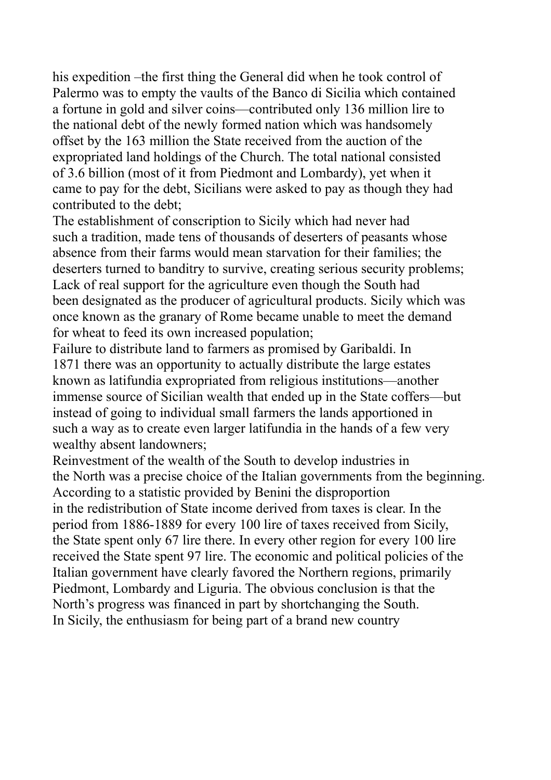his expedition –the first thing the General did when he took control of Palermo was to empty the vaults of the Banco di Sicilia which contained a fortune in gold and silver coins—contributed only 136 million lire to the national debt of the newly formed nation which was handsomely offset by the 163 million the State received from the auction of the expropriated land holdings of the Church. The total national consisted of 3.6 billion (most of it from Piedmont and Lombardy), yet when it came to pay for the debt, Sicilians were asked to pay as though they had contributed to the debt;

The establishment of conscription to Sicily which had never had such a tradition, made tens of thousands of deserters of peasants whose absence from their farms would mean starvation for their families; the deserters turned to banditry to survive, creating serious security problems; Lack of real support for the agriculture even though the South had been designated as the producer of agricultural products. Sicily which was once known as the granary of Rome became unable to meet the demand for wheat to feed its own increased population;

Failure to distribute land to farmers as promised by Garibaldi. In 1871 there was an opportunity to actually distribute the large estates known as latifundia expropriated from religious institutions—another immense source of Sicilian wealth that ended up in the State coffers—but instead of going to individual small farmers the lands apportioned in such a way as to create even larger latifundia in the hands of a few very wealthy absent landowners;

Reinvestment of the wealth of the South to develop industries in the North was a precise choice of the Italian governments from the beginning. According to a statistic provided by Benini the disproportion in the redistribution of State income derived from taxes is clear. In the period from 1886-1889 for every 100 lire of taxes received from Sicily, the State spent only 67 lire there. In every other region for every 100 lire received the State spent 97 lire. The economic and political policies of the Italian government have clearly favored the Northern regions, primarily Piedmont, Lombardy and Liguria. The obvious conclusion is that the North's progress was financed in part by shortchanging the South. In Sicily, the enthusiasm for being part of a brand new country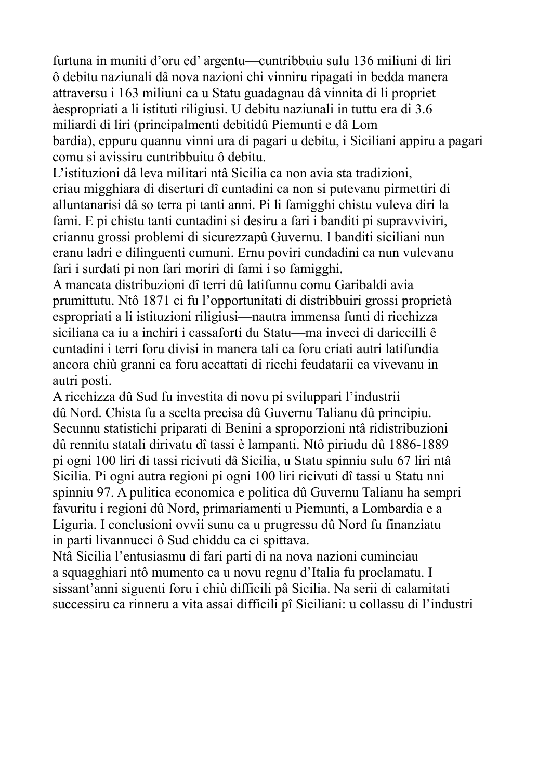furtuna in muniti d'oru ed' argentu—cuntribbuiu sulu 136 miliuni di liri ô debitu naziunali dâ nova nazioni chi vinniru ripagati in bedda manera attraversu i 163 miliuni ca u Statu guadagnau dâ vinnita di li propriet àespropriati a li istituti riligiusi. U debitu naziunali in tuttu era di 3.6 miliardi di liri (principalmenti debitidû Piemunti e dâ Lom bardia), eppuru quannu vinni ura di pagari u debitu, i Siciliani appiru a pagari comu si avissiru cuntribbuitu ô debitu.

L'istituzioni dâ leva militari ntâ Sicilia ca non avia sta tradizioni, criau migghiara di diserturi dî cuntadini ca non si putevanu pirmettiri di alluntanarisi dâ so terra pi tanti anni. Pi li famigghi chistu vuleva diri la fami. E pi chistu tanti cuntadini si desiru a fari i banditi pi supravviviri, criannu grossi problemi di sicurezzapû Guvernu. I banditi siciliani nun eranu ladri e dilinguenti cumuni. Ernu poviri cundadini ca nun vulevanu fari i surdati pi non fari moriri di fami i so famigghi.

A mancata distribuzioni dî terri dû latifunnu comu Garibaldi avia prumittutu. Ntô 1871 ci fu l'opportunitati di distribbuiri grossi proprietà espropriati a li istituzioni riligiusi—nautra immensa funti di ricchizza siciliana ca iu a inchiri i cassaforti du Statu—ma inveci di dariccilli ê cuntadini i terri foru divisi in manera tali ca foru criati autri latifundia ancora chiù granni ca foru accattati di ricchi feudatarii ca vivevanu in autri posti.

A ricchizza dû Sud fu investita di novu pi sviluppari l'industrii dû Nord. Chista fu a scelta precisa dû Guvernu Talianu dû principiu. Secunnu statistichi priparati di Benini a sproporzioni ntâ ridistribuzioni dû rennitu statali dirivatu dî tassi è lampanti. Ntô piriudu dû 1886-1889 pi ogni 100 liri di tassi ricivuti dâ Sicilia, u Statu spinniu sulu 67 liri ntâ Sicilia. Pi ogni autra regioni pi ogni 100 liri ricivuti dî tassi u Statu nni spinniu 97. A pulitica economica e politica dû Guvernu Talianu ha sempri favuritu i regioni dû Nord, primariamenti u Piemunti, a Lombardia e a Liguria. I conclusioni ovvii sunu ca u prugressu dû Nord fu finanziatu in parti livannucci ô Sud chiddu ca ci spittava.

Ntâ Sicilia l'entusiasmu di fari parti di na nova nazioni cuminciau a squagghiari ntô mumento ca u novu regnu d'Italia fu proclamatu. I sissant'anni siguenti foru i chiù difficili pâ Sicilia. Na serii di calamitati successiru ca rinneru a vita assai difficili pî Siciliani: u collassu di l'industri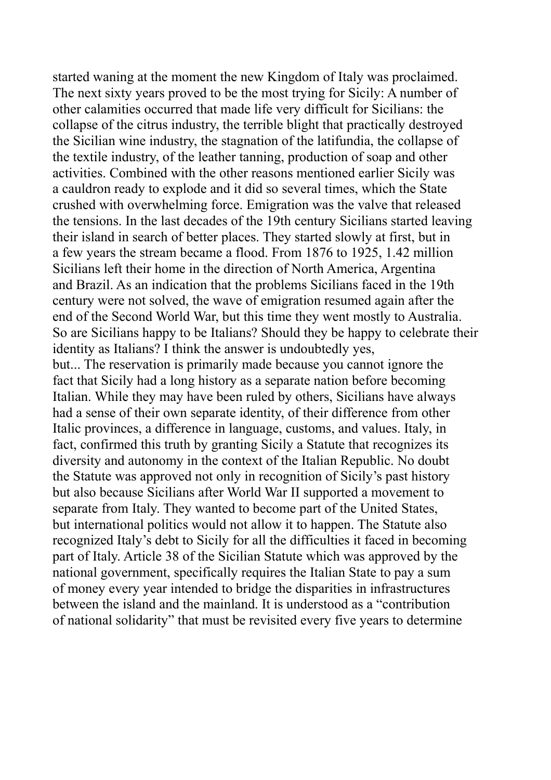started waning at the moment the new Kingdom of Italy was proclaimed. The next sixty years proved to be the most trying for Sicily: A number of other calamities occurred that made life very difficult for Sicilians: the collapse of the citrus industry, the terrible blight that practically destroyed the Sicilian wine industry, the stagnation of the latifundia, the collapse of the textile industry, of the leather tanning, production of soap and other activities. Combined with the other reasons mentioned earlier Sicily was a cauldron ready to explode and it did so several times, which the State crushed with overwhelming force. Emigration was the valve that released the tensions. In the last decades of the 19th century Sicilians started leaving their island in search of better places. They started slowly at first, but in a few years the stream became a flood. From 1876 to 1925, 1.42 million Sicilians left their home in the direction of North America, Argentina and Brazil. As an indication that the problems Sicilians faced in the 19th century were not solved, the wave of emigration resumed again after the end of the Second World War, but this time they went mostly to Australia. So are Sicilians happy to be Italians? Should they be happy to celebrate their identity as Italians? I think the answer is undoubtedly yes,

but... The reservation is primarily made because you cannot ignore the fact that Sicily had a long history as a separate nation before becoming Italian. While they may have been ruled by others, Sicilians have always had a sense of their own separate identity, of their difference from other Italic provinces, a difference in language, customs, and values. Italy, in fact, confirmed this truth by granting Sicily a Statute that recognizes its diversity and autonomy in the context of the Italian Republic. No doubt the Statute was approved not only in recognition of Sicily's past history but also because Sicilians after World War II supported a movement to separate from Italy. They wanted to become part of the United States, but international politics would not allow it to happen. The Statute also recognized Italy's debt to Sicily for all the difficulties it faced in becoming part of Italy. Article 38 of the Sicilian Statute which was approved by the national government, specifically requires the Italian State to pay a sum of money every year intended to bridge the disparities in infrastructures between the island and the mainland. It is understood as a "contribution of national solidarity" that must be revisited every five years to determine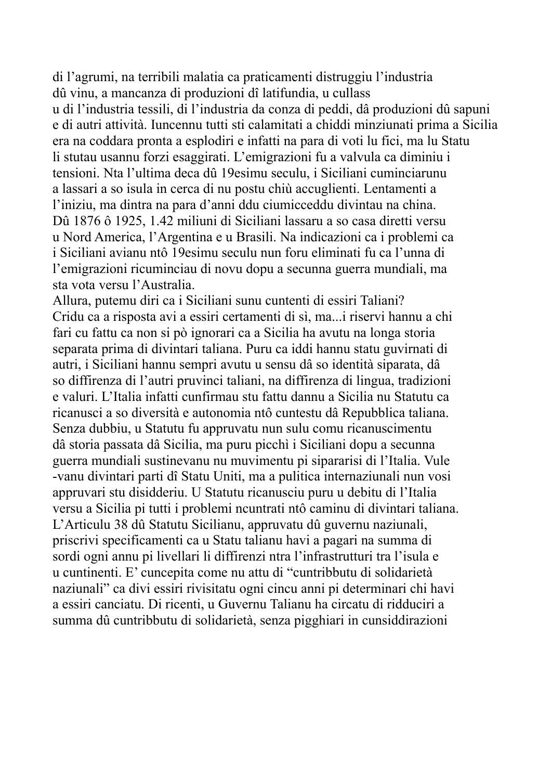di l'agrumi, na terribili malatia ca praticamenti distruggiu l'industria dû vinu, a mancanza di produzioni dî latifundia, u cullass

u di l'industria tessili, di l'industria da conza di peddi, dâ produzioni dû sapuni e di autri attività. Iuncennu tutti sti calamitati a chiddi minziunati prima a Sicilia era na coddara pronta a esplodiri e infatti na para di voti lu fici, ma lu Statu li stutau usannu forzi esaggirati. L'emigrazioni fu a valvula ca diminiu i tensioni. Nta l'ultima deca dû 19esimu seculu, i Siciliani cuminciarunu a lassari a so isula in cerca di nu postu chiù accuglienti. Lentamenti a l'iniziu, ma dintra na para d'anni ddu ciumicceddu divintau na china. Dû 1876 ô 1925, 1.42 miliuni di Siciliani lassaru a so casa diretti versu u Nord America, l'Argentina e u Brasili. Na indicazioni ca i problemi ca i Siciliani avianu ntô 19esimu seculu nun foru eliminati fu ca l'unna di l'emigrazioni ricuminciau di novu dopu a secunna guerra mundiali, ma sta vota versu l'Australia.

Allura, putemu diri ca i Siciliani sunu cuntenti di essiri Taliani? Cridu ca a risposta avi a essiri certamenti di sì, ma...i riservi hannu a chi fari cu fattu ca non si pò ignorari ca a Sicilia ha avutu na longa storia separata prima di divintari taliana. Puru ca iddi hannu statu guvirnati di autri, i Siciliani hannu sempri avutu u sensu dâ so identità siparata, dâ so diffirenza di l'autri pruvinci taliani, na diffirenza di lingua, tradizioni e valuri. L'Italia infatti cunfirmau stu fattu dannu a Sicilia nu Statutu ca ricanusci a so diversità e autonomia ntô cuntestu dâ Repubblica taliana. Senza dubbiu, u Statutu fu appruvatu nun sulu comu ricanuscimentu dâ storia passata dâ Sicilia, ma puru picchì i Siciliani dopu a secunna guerra mundiali sustinevanu nu muvimentu pi sipararisi di l'Italia. Vule -vanu divintari parti dî Statu Uniti, ma a pulitica internaziunali nun vosi appruvari stu disidderiu. U Statutu ricanusciu puru u debitu di l'Italia versu a Sicilia pi tutti i problemi ncuntrati ntô caminu di divintari taliana. L'Articulu 38 dû Statutu Sicilianu, appruvatu dû guvernu naziunali, priscrivi specificamenti ca u Statu talianu havi a pagari na summa di sordi ogni annu pi livellari li diffirenzi ntra l'infrastrutturi tra l'isula e u cuntinenti. E' cuncepita come nu attu di "cuntribbutu di solidarietà naziunali" ca divi essiri rivisitatu ogni cincu anni pi determinari chi havi a essiri canciatu. Di ricenti, u Guvernu Talianu ha circatu di ridduciri a summa dû cuntribbutu di solidarietà, senza pigghiari in cunsiddirazioni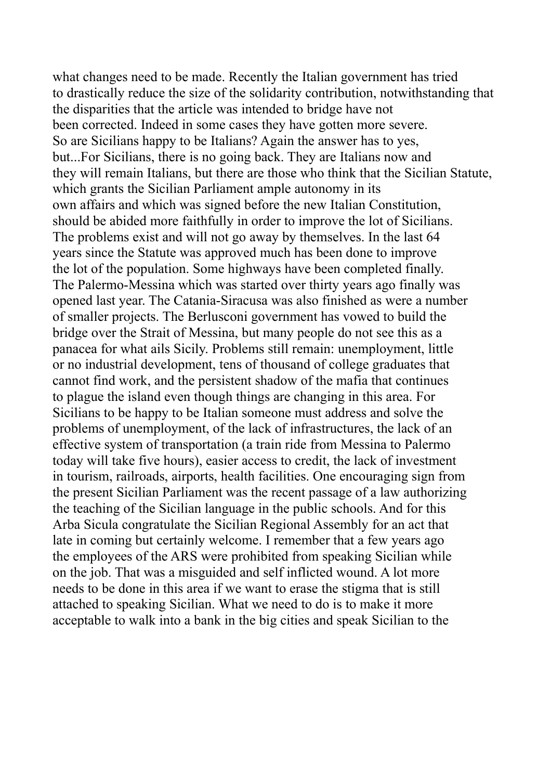what changes need to be made. Recently the Italian government has tried to drastically reduce the size of the solidarity contribution, notwithstanding that the disparities that the article was intended to bridge have not been corrected. Indeed in some cases they have gotten more severe. So are Sicilians happy to be Italians? Again the answer has to yes, but...For Sicilians, there is no going back. They are Italians now and they will remain Italians, but there are those who think that the Sicilian Statute, which grants the Sicilian Parliament ample autonomy in its own affairs and which was signed before the new Italian Constitution, should be abided more faithfully in order to improve the lot of Sicilians. The problems exist and will not go away by themselves. In the last 64 years since the Statute was approved much has been done to improve the lot of the population. Some highways have been completed finally. The Palermo-Messina which was started over thirty years ago finally was opened last year. The Catania-Siracusa was also finished as were a number of smaller projects. The Berlusconi government has vowed to build the bridge over the Strait of Messina, but many people do not see this as a panacea for what ails Sicily. Problems still remain: unemployment, little or no industrial development, tens of thousand of college graduates that cannot find work, and the persistent shadow of the mafia that continues to plague the island even though things are changing in this area. For Sicilians to be happy to be Italian someone must address and solve the problems of unemployment, of the lack of infrastructures, the lack of an effective system of transportation (a train ride from Messina to Palermo today will take five hours), easier access to credit, the lack of investment in tourism, railroads, airports, health facilities. One encouraging sign from the present Sicilian Parliament was the recent passage of a law authorizing the teaching of the Sicilian language in the public schools. And for this Arba Sicula congratulate the Sicilian Regional Assembly for an act that late in coming but certainly welcome. I remember that a few years ago the employees of the ARS were prohibited from speaking Sicilian while on the job. That was a misguided and self inflicted wound. A lot more needs to be done in this area if we want to erase the stigma that is still attached to speaking Sicilian. What we need to do is to make it more acceptable to walk into a bank in the big cities and speak Sicilian to the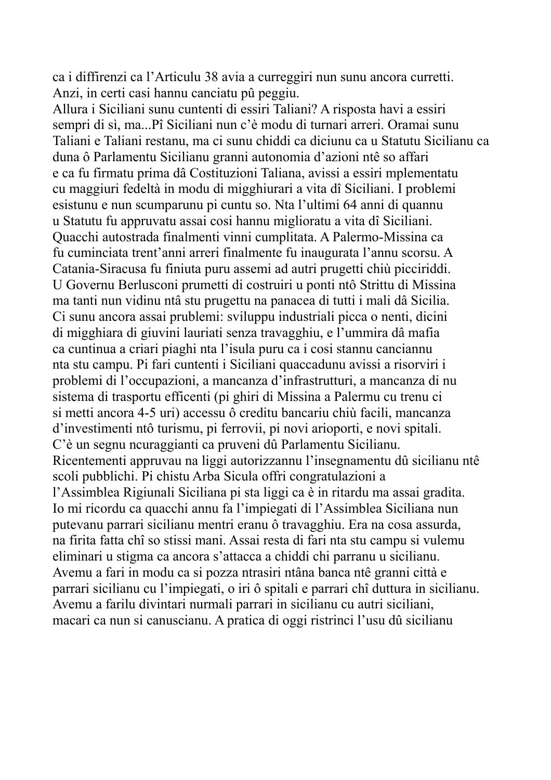ca i diffirenzi ca l'Articulu 38 avia a curreggiri nun sunu ancora curretti. Anzi, in certi casi hannu canciatu pû peggiu.

Allura i Siciliani sunu cuntenti di essiri Taliani? A risposta havi a essiri sempri di sì, ma...Pî Siciliani nun c'è modu di turnari arreri. Oramai sunu Taliani e Taliani restanu, ma ci sunu chiddi ca diciunu ca u Statutu Sicilianu ca duna ô Parlamentu Sicilianu granni autonomia d'azioni ntê so affari e ca fu firmatu prima dâ Costituzioni Taliana, avissi a essiri mplementatu cu maggiuri fedeltà in modu di migghiurari a vita dî Siciliani. I problemi esistunu e nun scumparunu pi cuntu so. Nta l'ultimi 64 anni di quannu u Statutu fu appruvatu assai cosi hannu miglioratu a vita dî Siciliani. Quacchi autostrada finalmenti vinni cumplitata. A Palermo-Missina ca fu cuminciata trent'anni arreri finalmente fu inaugurata l'annu scorsu. A Catania-Siracusa fu finiuta puru assemi ad autri prugetti chiù picciriddi. U Governu Berlusconi prumetti di costruiri u ponti ntô Strittu di Missina ma tanti nun vidinu ntâ stu prugettu na panacea di tutti i mali dâ Sicilia. Ci sunu ancora assai prublemi: sviluppu industriali picca o nenti, dicini di migghiara di giuvini lauriati senza travagghiu, e l'ummira dâ mafia ca cuntinua a criari piaghi nta l'isula puru ca i cosi stannu canciannu nta stu campu. Pi fari cuntenti i Siciliani quaccadunu avissi a risorviri i problemi di l'occupazioni, a mancanza d'infrastrutturi, a mancanza di nu sistema di trasportu efficenti (pi ghiri di Missina a Palermu cu trenu ci si metti ancora 4-5 uri) accessu ô creditu bancariu chiù facili, mancanza d'investimenti ntô turismu, pi ferrovii, pi novi arioporti, e novi spitali. C'è un segnu ncuraggianti ca pruveni dû Parlamentu Sicilianu. Ricentementi appruvau na liggi autorizzannu l'insegnamentu dû sicilianu ntê scoli pubblichi. Pi chistu Arba Sicula offri congratulazioni a l'Assimblea Rigiunali Siciliana pi sta liggi ca è in ritardu ma assai gradita. Io mi ricordu ca quacchi annu fa l'impiegati di l'Assimblea Siciliana nun putevanu parrari sicilianu mentri eranu ô travagghiu. Era na cosa assurda, na firita fatta chî so stissi mani. Assai resta di fari nta stu campu si vulemu eliminari u stigma ca ancora s'attacca a chiddi chi parranu u sicilianu. Avemu a fari in modu ca si pozza ntrasiri ntâna banca ntê granni città e parrari sicilianu cu l'impiegati, o iri ô spitali e parrari chî duttura in sicilianu. Avemu a farilu divintari nurmali parrari in sicilianu cu autri siciliani, macari ca nun si canuscianu. A pratica di oggi ristrinci l'usu dû sicilianu